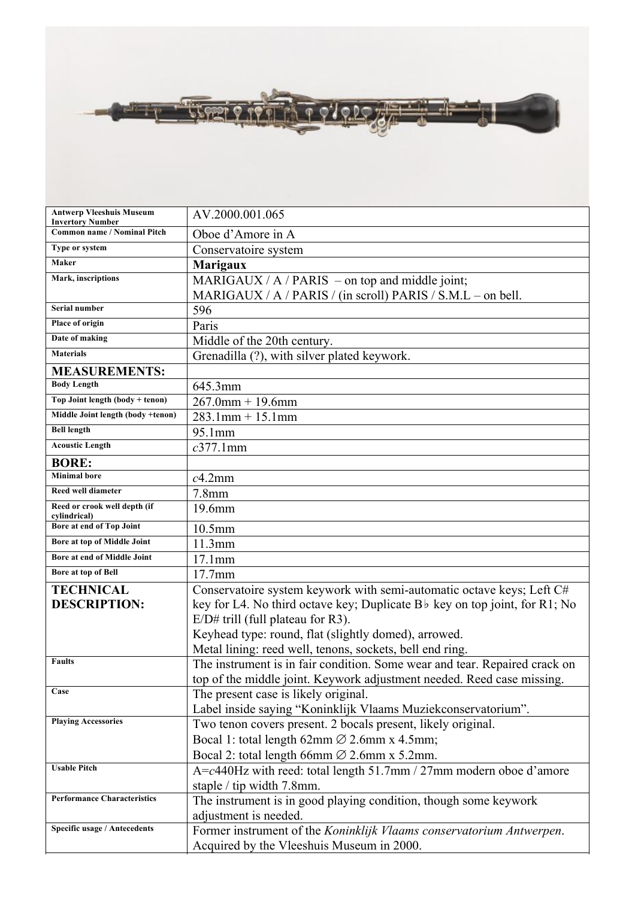| $\mathbb{R}^n$ , and $\mathbb{R}^n$ | Fra o c'ele <del>gizi i un</del> |  |
|-------------------------------------|----------------------------------|--|

| <b>Antwerp Vleeshuis Museum</b><br><b>Invertory Number</b> | AV.2000.001.065                                                                        |  |
|------------------------------------------------------------|----------------------------------------------------------------------------------------|--|
| <b>Common name / Nominal Pitch</b>                         | Oboe d'Amore in A                                                                      |  |
| Type or system                                             | Conservatoire system                                                                   |  |
| Maker                                                      | <b>Marigaux</b>                                                                        |  |
| Mark, inscriptions                                         | MARIGAUX / $A$ / PARIS – on top and middle joint;                                      |  |
|                                                            | MARIGAUX / $A$ / PARIS / (in scroll) PARIS / S.M.L – on bell.                          |  |
| Serial number                                              | 596                                                                                    |  |
| Place of origin                                            | Paris                                                                                  |  |
| Date of making                                             | Middle of the 20th century.                                                            |  |
| <b>Materials</b>                                           | Grenadilla (?), with silver plated keywork.                                            |  |
| <b>MEASUREMENTS:</b>                                       |                                                                                        |  |
| <b>Body Length</b>                                         | 645.3mm                                                                                |  |
| Top Joint length (body + tenon)                            | $267.0$ mm + 19.6mm                                                                    |  |
| Middle Joint length (body +tenon)                          | $283.1$ mm + 15.1mm                                                                    |  |
| <b>Bell length</b>                                         | 95.1mm                                                                                 |  |
| <b>Acoustic Length</b>                                     | $c377.1$ mm                                                                            |  |
| <b>BORE:</b>                                               |                                                                                        |  |
| <b>Minimal</b> bore                                        | $c4.2$ mm                                                                              |  |
| Reed well diameter                                         | $7.8$ mm                                                                               |  |
| Reed or crook well depth (if<br>cylindrical)               | 19.6mm                                                                                 |  |
| Bore at end of Top Joint                                   | 10.5mm                                                                                 |  |
| Bore at top of Middle Joint                                | 11.3mm                                                                                 |  |
| Bore at end of Middle Joint                                | 17.1mm                                                                                 |  |
| Bore at top of Bell                                        | 17.7mm                                                                                 |  |
| <b>TECHNICAL</b>                                           | Conservatoire system keywork with semi-automatic octave keys; Left C#                  |  |
| <b>DESCRIPTION:</b>                                        | key for L4. No third octave key; Duplicate B <sub>b</sub> key on top joint, for R1; No |  |
|                                                            | $E/D#$ trill (full plateau for R3).                                                    |  |
|                                                            | Keyhead type: round, flat (slightly domed), arrowed.                                   |  |
|                                                            | Metal lining: reed well, tenons, sockets, bell end ring.                               |  |
| <b>Faults</b>                                              | The instrument is in fair condition. Some wear and tear. Repaired crack on             |  |
|                                                            | top of the middle joint. Keywork adjustment needed. Reed case missing.                 |  |
| Case                                                       | The present case is likely original.                                                   |  |
|                                                            | Label inside saying "Koninklijk Vlaams Muziekconservatorium".                          |  |
| <b>Playing Accessories</b>                                 | Two tenon covers present. 2 bocals present, likely original.                           |  |
|                                                            | Bocal 1: total length 62mm $\varnothing$ 2.6mm x 4.5mm;                                |  |
|                                                            | Bocal 2: total length 66mm $\varnothing$ 2.6mm x 5.2mm.                                |  |
| <b>Usable Pitch</b>                                        | $A = c440$ Hz with reed: total length 51.7mm / 27mm modern oboe d'amore                |  |
|                                                            | staple / tip width 7.8mm.                                                              |  |
| <b>Performance Characteristics</b>                         | The instrument is in good playing condition, though some keywork                       |  |
|                                                            | adjustment is needed.                                                                  |  |
| Specific usage / Antecedents                               | Former instrument of the Koninklijk Vlaams conservatorium Antwerpen.                   |  |
|                                                            | Acquired by the Vleeshuis Museum in 2000.                                              |  |

**Further information on maker** Waterhouse (1993) p.389.